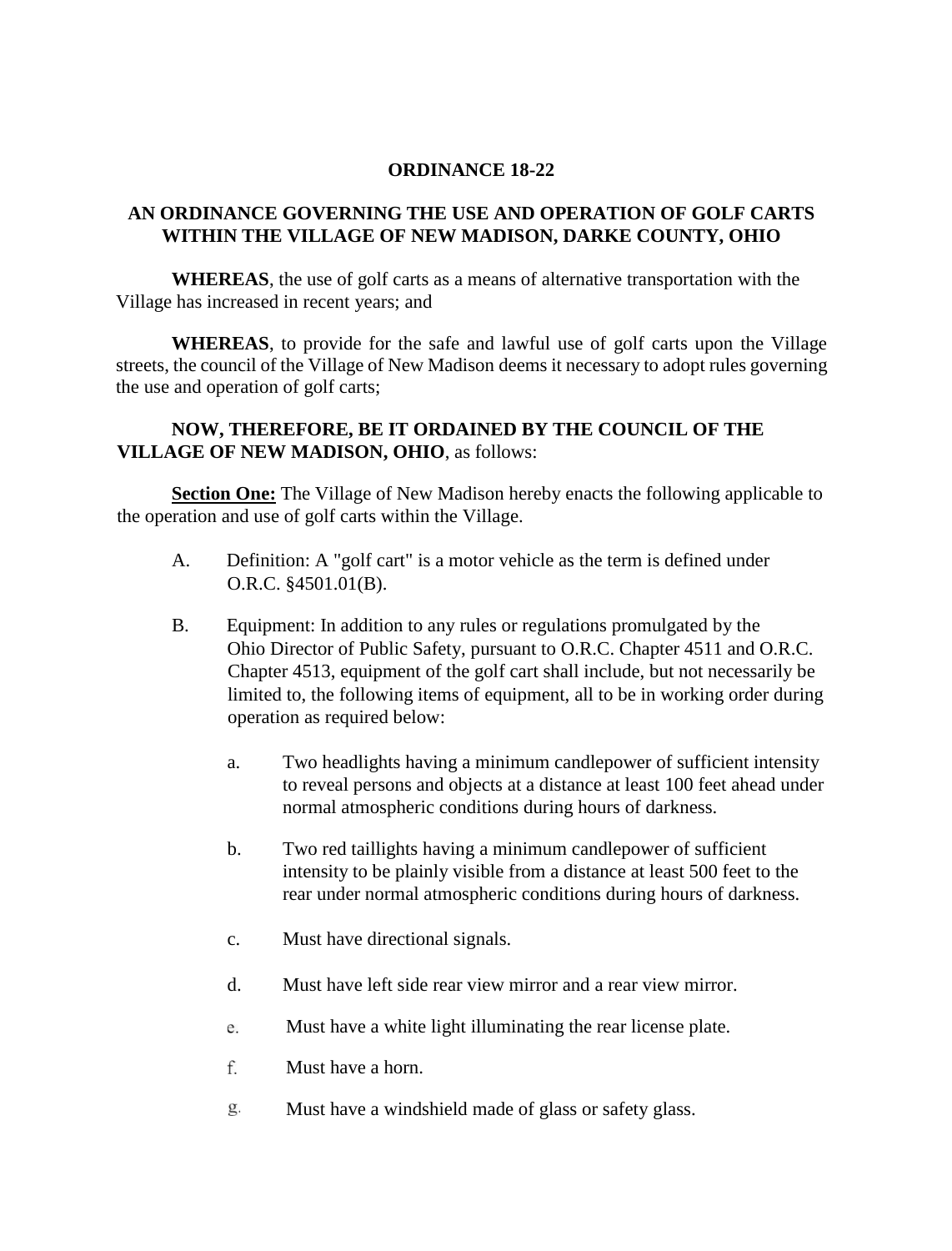## **ORDINANCE 18-22**

## **AN ORDINANCE GOVERNING THE USE AND OPERATION OF GOLF CARTS WITHIN THE VILLAGE OF NEW MADISON, DARKE COUNTY, OHIO**

**WHEREAS**, the use of golf carts as a means of alternative transportation with the Village has increased in recent years; and

**WHEREAS**, to provide for the safe and lawful use of golf carts upon the Village streets, the council of the Village of New Madison deems it necessary to adopt rules governing the use and operation of golf carts;

## **NOW, THEREFORE, BE IT ORDAINED BY THE COUNCIL OF THE VILLAGE OF NEW MADISON, OHIO**, as follows:

**Section One:** The Village of New Madison hereby enacts the following applicable to the operation and use of golf carts within the Village.

- A. Definition: A "golf cart" is a motor vehicle as the term is defined under O.R.C. §4501.01(B).
- B. Equipment: In addition to any rules or regulations promulgated by the Ohio Director of Public Safety, pursuant to O.R.C. Chapter 4511 and O.R.C. Chapter 4513, equipment of the golf cart shall include, but not necessarily be limited to, the following items of equipment, all to be in working order during operation as required below:
	- a. Two headlights having a minimum candlepower of sufficient intensity to reveal persons and objects at a distance at least 100 feet ahead under normal atmospheric conditions during hours of darkness.
	- b. Two red taillights having a minimum candlepower of sufficient intensity to be plainly visible from a distance at least 500 feet to the rear under normal atmospheric conditions during hours of darkness.
	- c. Must have directional signals.
	- d. Must have left side rear view mirror and a rear view mirror.
	- Must have a white light illuminating the rear license plate. e.
	- f. Must have a horn.
	- g. Must have a windshield made of glass or safety glass.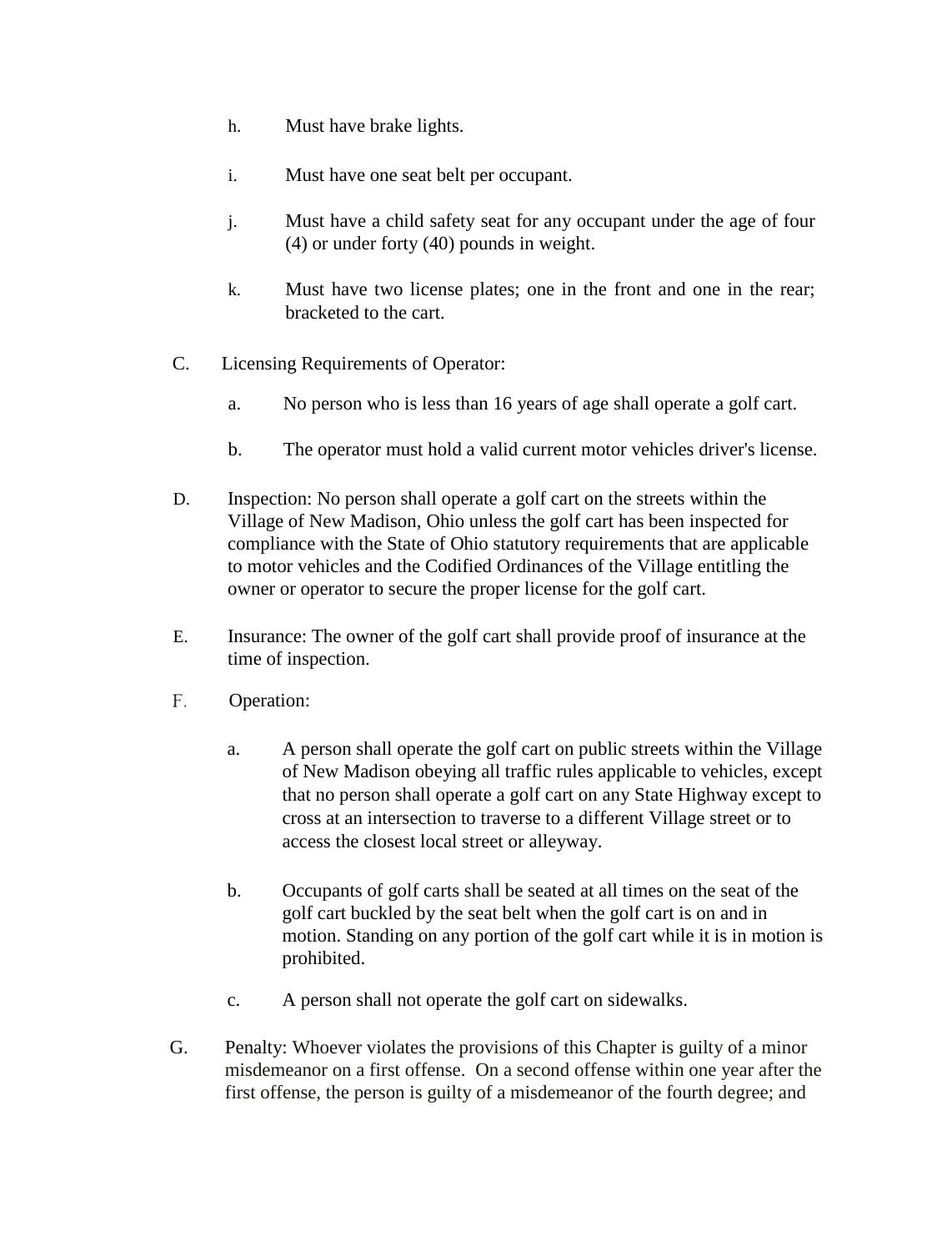- h. Must have brake lights.
- i. Must have one seat belt per occupant.
- j. Must have a child safety seat for any occupant under the age of four (4) or under forty (40) pounds in weight.
- k. Must have two license plates; one in the front and one in the rear; bracketed to the cart.
- C. Licensing Requirements of Operator:
	- a. No person who is less than 16 years of age shall operate a golf cart.
	- b. The operator must hold a valid current motor vehicles driver's license.
- D. Inspection: No person shall operate a golf cart on the streets within the Village of New Madison, Ohio unless the golf cart has been inspected for compliance with the State of Ohio statutory requirements that are applicable to motor vehicles and the Codified Ordinances of the Village entitling the owner or operator to secure the proper license for the golf cart.
- E. Insurance: The owner of the golf cart shall provide proof of insurance at the time of inspection.
- F. Operation:
	- a. A person shall operate the golf cart on public streets within the Village of New Madison obeying all traffic rules applicable to vehicles, except that no person shall operate a golf cart on any State Highway except to cross at an intersection to traverse to a different Village street or to access the closest local street or alleyway.
	- b. Occupants of golf carts shall be seated at all times on the seat of the golf cart buckled by the seat belt when the golf cart is on and in motion. Standing on any portion of the golf cart while it is in motion is prohibited.
	- c. A person shall not operate the golf cart on sidewalks.
- G. Penalty: Whoever violates the provisions of this Chapter is guilty of a minor misdemeanor on a first offense. On a second offense within one year after the first offense, the person is guilty of a misdemeanor of the fourth degree; and